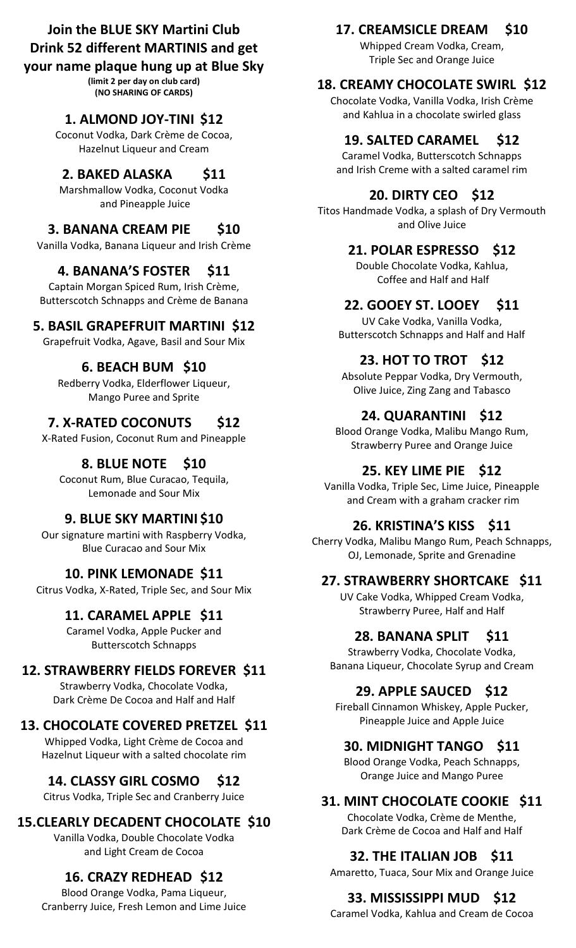# **Join the BLUE SKY Martini Club Drink 52 different MARTINIS and get**

## **your name plaque hung up at Blue Sky**

**(limit 2 per day on club card) (NO SHARING OF CARDS)**

# **1. ALMOND JOY-TINI \$12**

Coconut Vodka, Dark Crème de Cocoa, Hazelnut Liqueur and Cream

## **2. BAKED ALASKA \$11**

Marshmallow Vodka, Coconut Vodka and Pineapple Juice

## **3. BANANA CREAM PIE \$10**

Vanilla Vodka, Banana Liqueur and Irish Crème

## **4. BANANA'S FOSTER \$11**

Captain Morgan Spiced Rum, Irish Crème, Butterscotch Schnapps and Crème de Banana

## **5. BASIL GRAPEFRUIT MARTINI \$12**

Grapefruit Vodka, Agave, Basil and Sour Mix

# **6. BEACH BUM \$10**

Redberry Vodka, Elderflower Liqueur, Mango Puree and Sprite

# **7. X-RATED COCONUTS \$12**

X-Rated Fusion, Coconut Rum and Pineapple

# **8. BLUE NOTE \$10**

Coconut Rum, Blue Curacao, Tequila, Lemonade and Sour Mix

# **9. BLUE SKY MARTINI \$10**

Our signature martini with Raspberry Vodka, Blue Curacao and Sour Mix

## **10. PINK LEMONADE \$11**

Citrus Vodka, X-Rated, Triple Sec, and Sour Mix

## **11. CARAMEL APPLE \$11**

Caramel Vodka, Apple Pucker and Butterscotch Schnapps

## **12. STRAWBERRY FIELDS FOREVER \$11**

Strawberry Vodka, Chocolate Vodka, Dark Crème De Cocoa and Half and Half

# **13. CHOCOLATE COVERED PRETZEL \$11**

Whipped Vodka, Light Crème de Cocoa and Hazelnut Liqueur with a salted chocolate rim

# **14. CLASSY GIRL COSMO \$12**

Citrus Vodka, Triple Sec and Cranberry Juice

# **15.CLEARLY DECADENT CHOCOLATE \$10**

Vanilla Vodka, Double Chocolate Vodka and Light Cream de Cocoa

# **16. CRAZY REDHEAD \$12**

Blood Orange Vodka, Pama Liqueur, Cranberry Juice, Fresh Lemon and Lime Juice

# **17. CREAMSICLE DREAM \$10**

Whipped Cream Vodka, Cream, Triple Sec and Orange Juice

# **18. CREAMY CHOCOLATE SWIRL \$12**

Chocolate Vodka, Vanilla Vodka, Irish Crème and Kahlua in a chocolate swirled glass

# **19. SALTED CARAMEL \$12**

Caramel Vodka, Butterscotch Schnapps and Irish Creme with a salted caramel rim

# **20. DIRTY CEO \$12**

Titos Handmade Vodka, a splash of Dry Vermouth and Olive Juice

# **21. POLAR ESPRESSO \$12**

Double Chocolate Vodka, Kahlua, Coffee and Half and Half

# **22. GOOEY ST. LOOEY \$11**

UV Cake Vodka, Vanilla Vodka, Butterscotch Schnapps and Half and Half

# **23. HOT TO TROT \$12**

Absolute Peppar Vodka, Dry Vermouth, Olive Juice, Zing Zang and Tabasco

# **24. QUARANTINI \$12**

Blood Orange Vodka, Malibu Mango Rum, Strawberry Puree and Orange Juice

### **25. KEY LIME PIE \$12**

Vanilla Vodka, Triple Sec, Lime Juice, Pineapple and Cream with a graham cracker rim

## **26. KRISTINA'S KISS \$11**

Cherry Vodka, Malibu Mango Rum, Peach Schnapps, OJ, Lemonade, Sprite and Grenadine

### **27. STRAWBERRY SHORTCAKE \$11**

UV Cake Vodka, Whipped Cream Vodka, Strawberry Puree, Half and Half

## **28. BANANA SPLIT \$11**

Strawberry Vodka, Chocolate Vodka, Banana Liqueur, Chocolate Syrup and Cream

### **29. APPLE SAUCED \$12**

Fireball Cinnamon Whiskey, Apple Pucker, Pineapple Juice and Apple Juice

### **30. MIDNIGHT TANGO \$11**

Blood Orange Vodka, Peach Schnapps, Orange Juice and Mango Puree

## **31. MINT CHOCOLATE COOKIE \$11**

Chocolate Vodka, Crème de Menthe, Dark Crème de Cocoa and Half and Half

## **32. THE ITALIAN JOB \$11**

Amaretto, Tuaca, Sour Mix and Orange Juice

# **33. MISSISSIPPI MUD \$12**

Caramel Vodka, Kahlua and Cream de Cocoa